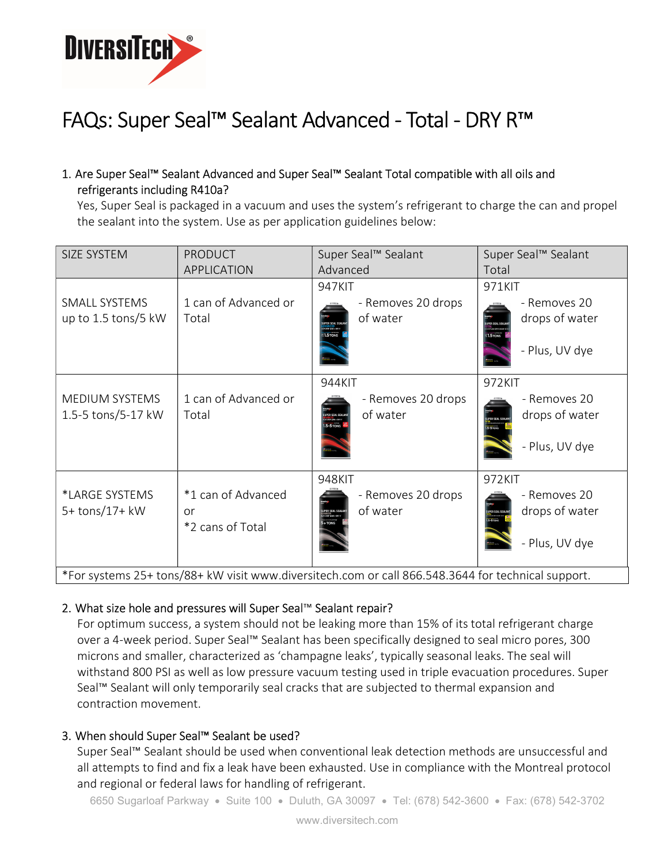

# FAQs: Super Seal™ Sealant Advanced - Total - DRY R™

## 1. Are Super Seal™ Sealant Advanced and Super Seal™ Sealant Total compatible with all oils and refrigerants including R410a?

Yes, Super Seal is packaged in a vacuum and uses the system's refrigerant to charge the can and propel the sealant into the system. Use as per application guidelines below:

| SIZE SYSTEM                                                                                        | <b>PRODUCT</b><br><b>APPLICATION</b>         | Super Seal™ Sealant<br>Advanced                                                                                 | Super Seal™ Sealant<br>Total                                                      |
|----------------------------------------------------------------------------------------------------|----------------------------------------------|-----------------------------------------------------------------------------------------------------------------|-----------------------------------------------------------------------------------|
| SMALL SYSTEMS<br>up to 1.5 tons/5 kW                                                               | 1 can of Advanced or<br>Total                | 947KIT<br>- Removes 20 drops<br>of water<br><b>I.STONS</b>                                                      | 971KIT<br>- Removes 20<br>drops of water<br>1.5 TONS<br>- Plus, UV dye            |
| MEDIUM SYSTEMS<br>1.5-5 tons/5-17 kW                                                               | 1 can of Advanced or<br>Total                | 944KIT<br>- Removes 20 drops<br>of water<br><b>JPER SEAL SEAL)</b><br>MANGEO<br>M STORLAA + DIV N<br>1.5+5 TONS | 972KIT<br>- Removes 20<br>drops of water<br><b>PERSEAL SEAL</b><br>- Plus, UV dye |
| *LARGE SYSTEMS<br>5+ tons/17+ kW                                                                   | *1 can of Advanced<br>or<br>*2 cans of Total | 948KIT<br>- Removes 20 drops<br>of water                                                                        | 972KIT<br>- Removes 20<br>drops of water<br>UPER SEAL SEAL<br>- Plus, UV dye      |
| *For systems 25+ tons/88+ kW visit www.diversitech.com or call 866.548.3644 for technical support. |                                              |                                                                                                                 |                                                                                   |

## 2. What size hole and pressures will Super Seal™ Sealant repair?

For optimum success, a system should not be leaking more than 15% of its total refrigerant charge over a 4-week period. Super Seal™ Sealant has been specifically designed to seal micro pores, 300 microns and smaller, characterized as 'champagne leaks', typically seasonal leaks. The seal will withstand 800 PSI as well as low pressure vacuum testing used in triple evacuation procedures. Super Seal™ Sealant will only temporarily seal cracks that are subjected to thermal expansion and contraction movement.

## 3. When should Super Seal™ Sealant be used?

Super Seal™ Sealant should be used when conventional leak detection methods are unsuccessful and all attempts to find and fix a leak have been exhausted. Use in compliance with the Montreal protocol and regional or federal laws for handling of refrigerant.

6650 Sugarloaf Parkway · Suite 100 · Duluth, GA 30097 · Tel: (678) 542-3600 · Fax: (678) 542-3702